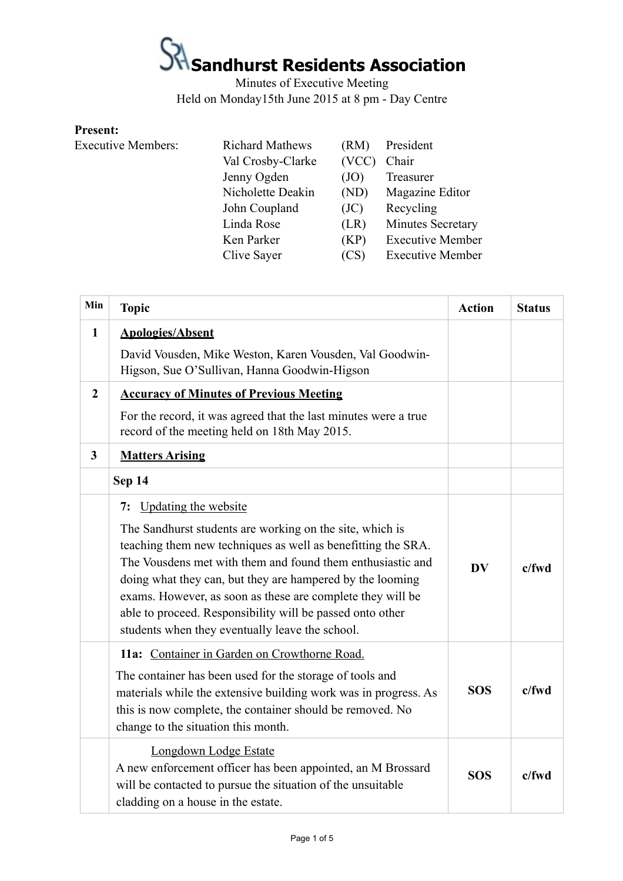Minutes of Executive Meeting Held on Monday15th June 2015 at 8 pm - Day Centre

#### **Present:**

| <b>Executive Members:</b> | <b>Richard Mathews</b> | (RM)  | President               |
|---------------------------|------------------------|-------|-------------------------|
|                           | Val Crosby-Clarke      | (VCC) | Chair                   |
|                           | Jenny Ogden            | (JO)  | Treasurer               |
|                           | Nicholette Deakin      | (ND)  | Magazine Editor         |
|                           | John Coupland          | (JC)  | Recycling               |
|                           | Linda Rose             | (LR)  | Minutes Secretary       |
|                           | Ken Parker             | (KP)  | <b>Executive Member</b> |
|                           | Clive Sayer            | (CS)  | <b>Executive Member</b> |

| Min            | <b>Topic</b>                                                                                                                                                                                                                                                                                                                                                                                                                      | <b>Action</b> | <b>Status</b> |
|----------------|-----------------------------------------------------------------------------------------------------------------------------------------------------------------------------------------------------------------------------------------------------------------------------------------------------------------------------------------------------------------------------------------------------------------------------------|---------------|---------------|
| $\mathbf{1}$   | <b>Apologies/Absent</b>                                                                                                                                                                                                                                                                                                                                                                                                           |               |               |
|                | David Vousden, Mike Weston, Karen Vousden, Val Goodwin-<br>Higson, Sue O'Sullivan, Hanna Goodwin-Higson                                                                                                                                                                                                                                                                                                                           |               |               |
| $\overline{2}$ | <b>Accuracy of Minutes of Previous Meeting</b>                                                                                                                                                                                                                                                                                                                                                                                    |               |               |
|                | For the record, it was agreed that the last minutes were a true<br>record of the meeting held on 18th May 2015.                                                                                                                                                                                                                                                                                                                   |               |               |
| $\mathbf{3}$   | <b>Matters Arising</b>                                                                                                                                                                                                                                                                                                                                                                                                            |               |               |
|                | Sep 14                                                                                                                                                                                                                                                                                                                                                                                                                            |               |               |
|                | 7: Updating the website                                                                                                                                                                                                                                                                                                                                                                                                           |               |               |
|                | The Sandhurst students are working on the site, which is<br>teaching them new techniques as well as benefitting the SRA.<br>The Vousdens met with them and found them enthusiastic and<br>doing what they can, but they are hampered by the looming<br>exams. However, as soon as these are complete they will be<br>able to proceed. Responsibility will be passed onto other<br>students when they eventually leave the school. | DV            | $c$ /fwd      |
|                | 11a: Container in Garden on Crowthorne Road.<br>The container has been used for the storage of tools and<br>materials while the extensive building work was in progress. As<br>this is now complete, the container should be removed. No<br>change to the situation this month.                                                                                                                                                   | <b>SOS</b>    | $c$ /fwd      |
|                | Longdown Lodge Estate<br>A new enforcement officer has been appointed, an M Brossard<br>will be contacted to pursue the situation of the unsuitable<br>cladding on a house in the estate.                                                                                                                                                                                                                                         | <b>SOS</b>    | $c$ /fwd      |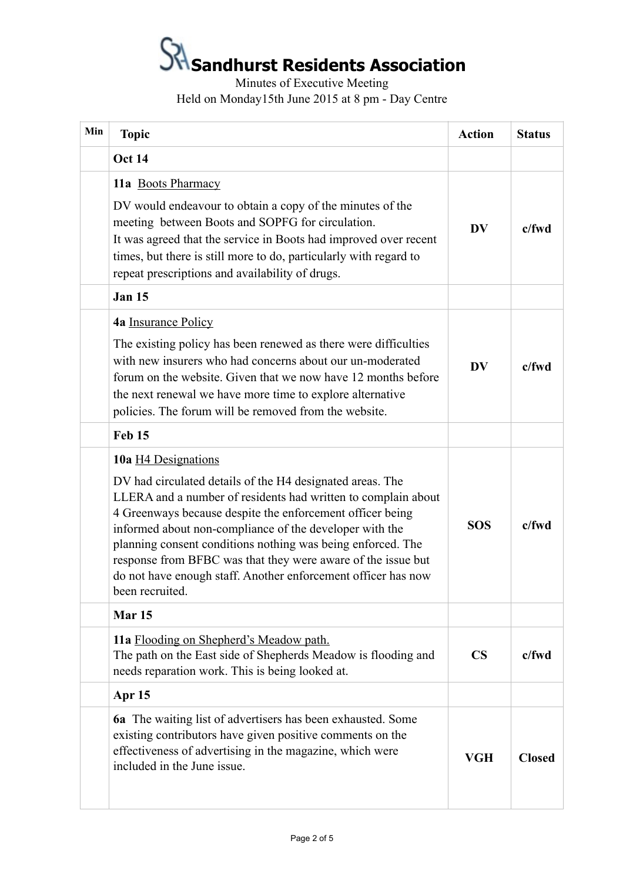Minutes of Executive Meeting Held on Monday15th June 2015 at 8 pm - Day Centre

| Min | <b>Topic</b>                                                                                                                                                                                                                                                                                                                                                                                                                                                                                 | <b>Action</b> | <b>Status</b> |
|-----|----------------------------------------------------------------------------------------------------------------------------------------------------------------------------------------------------------------------------------------------------------------------------------------------------------------------------------------------------------------------------------------------------------------------------------------------------------------------------------------------|---------------|---------------|
|     | <b>Oct 14</b>                                                                                                                                                                                                                                                                                                                                                                                                                                                                                |               |               |
|     | 11a Boots Pharmacy<br>DV would endeavour to obtain a copy of the minutes of the<br>meeting between Boots and SOPFG for circulation.<br>It was agreed that the service in Boots had improved over recent<br>times, but there is still more to do, particularly with regard to<br>repeat prescriptions and availability of drugs.                                                                                                                                                              | <b>DV</b>     | $c$ /fwd      |
|     | <b>Jan 15</b>                                                                                                                                                                                                                                                                                                                                                                                                                                                                                |               |               |
|     | 4a Insurance Policy<br>The existing policy has been renewed as there were difficulties<br>with new insurers who had concerns about our un-moderated<br>forum on the website. Given that we now have 12 months before<br>the next renewal we have more time to explore alternative<br>policies. The forum will be removed from the website.                                                                                                                                                   | <b>DV</b>     | $c$ /fwd      |
|     | Feb 15                                                                                                                                                                                                                                                                                                                                                                                                                                                                                       |               |               |
|     | 10a H4 Designations<br>DV had circulated details of the H4 designated areas. The<br>LLERA and a number of residents had written to complain about<br>4 Greenways because despite the enforcement officer being<br>informed about non-compliance of the developer with the<br>planning consent conditions nothing was being enforced. The<br>response from BFBC was that they were aware of the issue but<br>do not have enough staff. Another enforcement officer has now<br>been recruited. | <b>SOS</b>    | $c$ /fwd      |
|     | Mar <sub>15</sub>                                                                                                                                                                                                                                                                                                                                                                                                                                                                            |               |               |
|     | 11a Flooding on Shepherd's Meadow path.<br>The path on the East side of Shepherds Meadow is flooding and<br>needs reparation work. This is being looked at.                                                                                                                                                                                                                                                                                                                                  | $\mathbf{CS}$ | c/fwd         |
|     | Apr 15                                                                                                                                                                                                                                                                                                                                                                                                                                                                                       |               |               |
|     | <b>6a</b> The waiting list of advertisers has been exhausted. Some<br>existing contributors have given positive comments on the<br>effectiveness of advertising in the magazine, which were<br>included in the June issue.                                                                                                                                                                                                                                                                   | <b>VGH</b>    | <b>Closed</b> |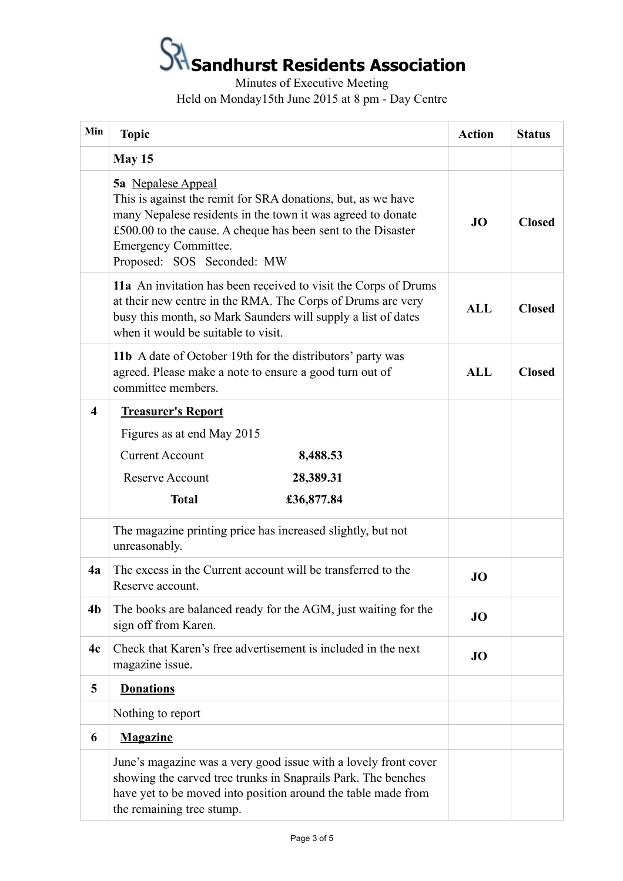Minutes of Executive Meeting Held on Monday15th June 2015 at 8 pm - Day Centre

| Min                     | <b>Topic</b>                                                                                                                                                                                                                                                                   | <b>Action</b> | <b>Status</b> |
|-------------------------|--------------------------------------------------------------------------------------------------------------------------------------------------------------------------------------------------------------------------------------------------------------------------------|---------------|---------------|
|                         | May 15                                                                                                                                                                                                                                                                         |               |               |
|                         | 5a Nepalese Appeal<br>This is against the remit for SRA donations, but, as we have<br>many Nepalese residents in the town it was agreed to donate<br>£500.00 to the cause. A cheque has been sent to the Disaster<br><b>Emergency Committee.</b><br>Proposed: SOS Seconded: MW | <b>JO</b>     | <b>Closed</b> |
|                         | 11a An invitation has been received to visit the Corps of Drums<br>at their new centre in the RMA. The Corps of Drums are very<br>busy this month, so Mark Saunders will supply a list of dates<br>when it would be suitable to visit.                                         | <b>ALL</b>    | <b>Closed</b> |
|                         | 11b A date of October 19th for the distributors' party was<br>agreed. Please make a note to ensure a good turn out of<br>committee members.                                                                                                                                    | <b>ALL</b>    | <b>Closed</b> |
| $\overline{\mathbf{4}}$ | <b>Treasurer's Report</b>                                                                                                                                                                                                                                                      |               |               |
|                         | Figures as at end May 2015                                                                                                                                                                                                                                                     |               |               |
|                         | <b>Current Account</b><br>8,488.53                                                                                                                                                                                                                                             |               |               |
|                         | <b>Reserve Account</b><br>28,389.31                                                                                                                                                                                                                                            |               |               |
|                         | <b>Total</b><br>£36,877.84                                                                                                                                                                                                                                                     |               |               |
|                         | The magazine printing price has increased slightly, but not<br>unreasonably.                                                                                                                                                                                                   |               |               |
| 4a                      | The excess in the Current account will be transferred to the<br>Reserve account.                                                                                                                                                                                               | JO            |               |
| 4 <sub>b</sub>          | The books are balanced ready for the AGM, just waiting for the<br>sign off from Karen.                                                                                                                                                                                         | JO            |               |
| 4c                      | Check that Karen's free advertisement is included in the next<br>magazine issue.                                                                                                                                                                                               | JO            |               |
| 5                       | <b>Donations</b>                                                                                                                                                                                                                                                               |               |               |
|                         | Nothing to report                                                                                                                                                                                                                                                              |               |               |
| 6                       | <b>Magazine</b>                                                                                                                                                                                                                                                                |               |               |
|                         | June's magazine was a very good issue with a lovely front cover<br>showing the carved tree trunks in Snaprails Park. The benches<br>have yet to be moved into position around the table made from<br>the remaining tree stump.                                                 |               |               |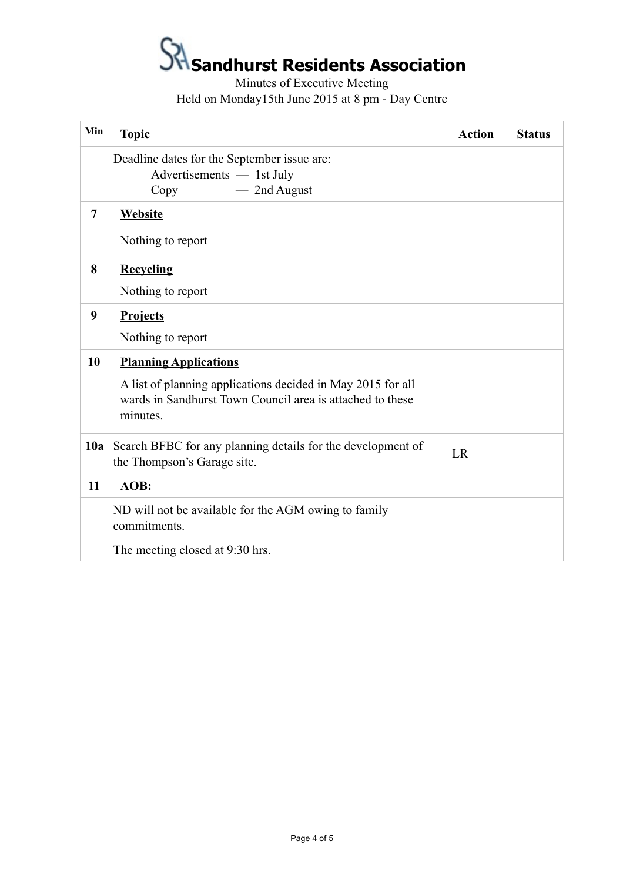Minutes of Executive Meeting Held on Monday15th June 2015 at 8 pm - Day Centre

| Min | <b>Topic</b>                                                                                                                                                         | <b>Action</b> | <b>Status</b> |
|-----|----------------------------------------------------------------------------------------------------------------------------------------------------------------------|---------------|---------------|
|     | Deadline dates for the September issue are:<br>Advertisements — 1st July<br>- 2nd August<br>Copy                                                                     |               |               |
| 7   | <b>Website</b>                                                                                                                                                       |               |               |
|     | Nothing to report                                                                                                                                                    |               |               |
| 8   | <b>Recycling</b><br>Nothing to report                                                                                                                                |               |               |
| 9   | Projects<br>Nothing to report                                                                                                                                        |               |               |
| 10  | <b>Planning Applications</b><br>A list of planning applications decided in May 2015 for all<br>wards in Sandhurst Town Council area is attached to these<br>minutes. |               |               |
| 10a | Search BFBC for any planning details for the development of<br>the Thompson's Garage site.                                                                           | LR            |               |
| 11  | AOB:                                                                                                                                                                 |               |               |
|     | ND will not be available for the AGM owing to family<br>commitments.                                                                                                 |               |               |
|     | The meeting closed at 9:30 hrs.                                                                                                                                      |               |               |